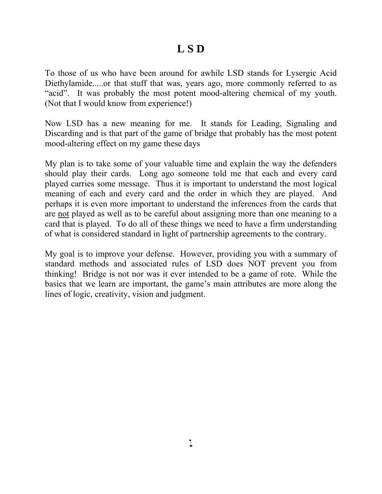# **L S D**

To those of us who have been around for awhile LSD stands for Lysergic Acid Diethylamide.....or that stuff that was, years ago, more commonly referred to as "acid". It was probably the most potent mood-altering chemical of my youth. (Not that I would know from experience!)

Now LSD has a new meaning for me. It stands for Leading, Signaling and Discarding and is that part of the game of bridge that probably has the most potent mood-altering effect on my game these days

My plan is to take some of your valuable time and explain the way the defenders should play their cards. Long ago someone told me that each and every card played carries some message. Thus it is important to understand the most logical meaning of each and every card and the order in which they are played. And perhaps it is even more important to understand the inferences from the cards that are not played as well as to be careful about assigning more than one meaning to a card that is played. To do all of these things we need to have a firm understanding of what is considered standard in light of partnership agreements to the contrary.

My goal is to improve your defense. However, providing you with a summary of standard methods and associated rules of LSD does NOT prevent you from thinking! Bridge is not nor was it ever intended to be a game of rote. While the basics that we learn are important, the game's main attributes are more along the lines of logic, creativity, vision and judgment.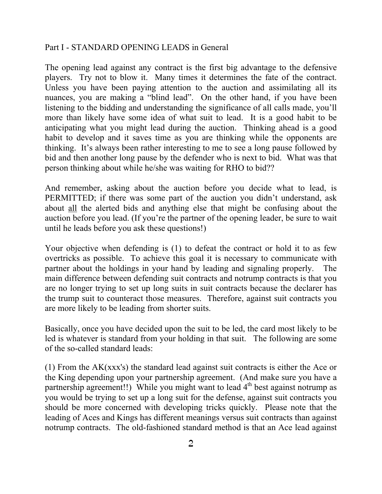## Part I - STANDARD OPENING LEADS in General

The opening lead against any contract is the first big advantage to the defensive players. Try not to blow it. Many times it determines the fate of the contract. Unless you have been paying attention to the auction and assimilating all its nuances, you are making a "blind lead". On the other hand, if you have been listening to the bidding and understanding the significance of all calls made, you'll more than likely have some idea of what suit to lead. It is a good habit to be anticipating what you might lead during the auction. Thinking ahead is a good habit to develop and it saves time as you are thinking while the opponents are thinking. It's always been rather interesting to me to see a long pause followed by bid and then another long pause by the defender who is next to bid. What was that person thinking about while he/she was waiting for RHO to bid??

And remember, asking about the auction before you decide what to lead, is PERMITTED; if there was some part of the auction you didn't understand, ask about all the alerted bids and anything else that might be confusing about the auction before you lead. (If you're the partner of the opening leader, be sure to wait until he leads before you ask these questions!)

Your objective when defending is (1) to defeat the contract or hold it to as few overtricks as possible. To achieve this goal it is necessary to communicate with partner about the holdings in your hand by leading and signaling properly. The main difference between defending suit contracts and notrump contracts is that you are no longer trying to set up long suits in suit contracts because the declarer has the trump suit to counteract those measures. Therefore, against suit contracts you are more likely to be leading from shorter suits.

Basically, once you have decided upon the suit to be led, the card most likely to be led is whatever is standard from your holding in that suit. The following are some of the so-called standard leads:

(1) From the AK(xxx's) the standard lead against suit contracts is either the Ace or the King depending upon your partnership agreement. (And make sure you have a partnership agreement!!) While you might want to lead  $4<sup>th</sup>$  best against notrump as you would be trying to set up a long suit for the defense, against suit contracts you should be more concerned with developing tricks quickly. Please note that the leading of Aces and Kings has different meanings versus suit contracts than against notrump contracts. The old-fashioned standard method is that an Ace lead against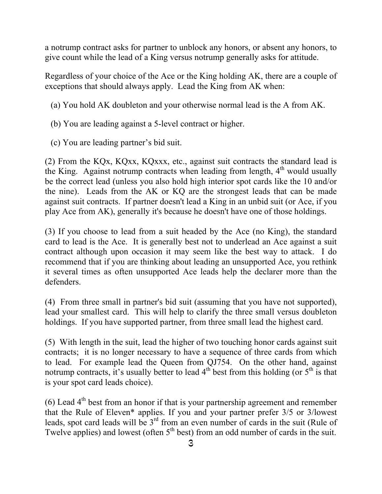a notrump contract asks for partner to unblock any honors, or absent any honors, to give count while the lead of a King versus notrump generally asks for attitude.

Regardless of your choice of the Ace or the King holding AK, there are a couple of exceptions that should always apply. Lead the King from AK when:

- (a) You hold AK doubleton and your otherwise normal lead is the A from AK.
- (b) You are leading against a 5-level contract or higher.
- (c) You are leading partner's bid suit.

(2) From the KQx, KQxx, KQxxx, etc., against suit contracts the standard lead is the King. Against notrump contracts when leading from length,  $4<sup>th</sup>$  would usually be the correct lead (unless you also hold high interior spot cards like the 10 and/or the nine). Leads from the AK or KQ are the strongest leads that can be made against suit contracts. If partner doesn't lead a King in an unbid suit (or Ace, if you play Ace from AK), generally it's because he doesn't have one of those holdings.

(3) If you choose to lead from a suit headed by the Ace (no King), the standard card to lead is the Ace. It is generally best not to underlead an Ace against a suit contract although upon occasion it may seem like the best way to attack. I do recommend that if you are thinking about leading an unsupported Ace, you rethink it several times as often unsupported Ace leads help the declarer more than the defenders.

(4) From three small in partner's bid suit (assuming that you have not supported), lead your smallest card. This will help to clarify the three small versus doubleton holdings. If you have supported partner, from three small lead the highest card.

(5) With length in the suit, lead the higher of two touching honor cards against suit contracts; it is no longer necessary to have a sequence of three cards from which to lead. For example lead the Queen from QJ754. On the other hand, against notrump contracts, it's usually better to lead  $4<sup>th</sup>$  best from this holding (or  $5<sup>th</sup>$  is that is your spot card leads choice).

(6) Lead  $4<sup>th</sup>$  best from an honor if that is your partnership agreement and remember that the Rule of Eleven\* applies. If you and your partner prefer 3/5 or 3/lowest leads, spot card leads will be 3rd from an even number of cards in the suit (Rule of Twelve applies) and lowest (often  $5<sup>th</sup>$  best) from an odd number of cards in the suit.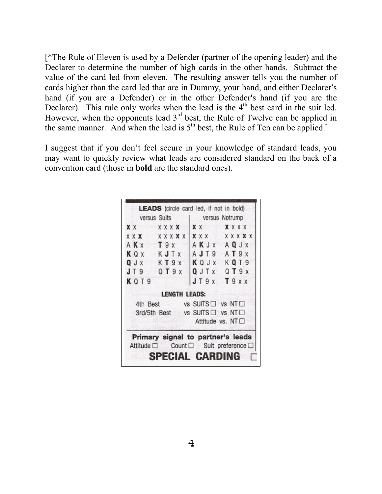[\*The Rule of Eleven is used by a Defender (partner of the opening leader) and the Declarer to determine the number of high cards in the other hands. Subtract the value of the card led from eleven. The resulting answer tells you the number of cards higher than the card led that are in Dummy, your hand, and either Declarer's hand (if you are a Defender) or in the other Defender's hand (if you are the Declarer). This rule only works when the lead is the  $4<sup>th</sup>$  best card in the suit led. However, when the opponents lead  $3<sup>rd</sup>$  best, the Rule of Twelve can be applied in the same manner. And when the lead is  $5<sup>th</sup>$  best, the Rule of Ten can be applied.]

I suggest that if you don't feel secure in your knowledge of standard leads, you may want to quickly review what leads are considered standard on the back of a convention card (those in **bold** are the standard ones).

|      | versus Suits   versus Notrump                                             |               |                        |
|------|---------------------------------------------------------------------------|---------------|------------------------|
|      | XX XXXX XX XXXX                                                           |               |                        |
|      | <b>XXX XXXXX</b>                                                          |               | X X X X X X X X        |
|      | AKX T9x                                                                   |               | AKJX AQJX              |
|      | KQx KJTx AJT9 AT9x                                                        |               |                        |
|      | QJx KT9x KQJx KQT9                                                        |               |                        |
|      | J T 9 Q T 9 X                                                             | QJTx QT9x     |                        |
| KQT9 |                                                                           | $JT9x$ $T9xx$ |                        |
|      | <b>LENGTH LEADS:</b>                                                      |               |                        |
|      | 4th Best vs SUITS U vs NT                                                 |               |                        |
|      | 3rd/5th Best vs SUITS □ vs NT □                                           |               |                        |
|      |                                                                           |               | Attitude vs. $NT \Box$ |
|      | Primary signal to partner's leads<br>Attitude □ Count □ Suit preference □ |               |                        |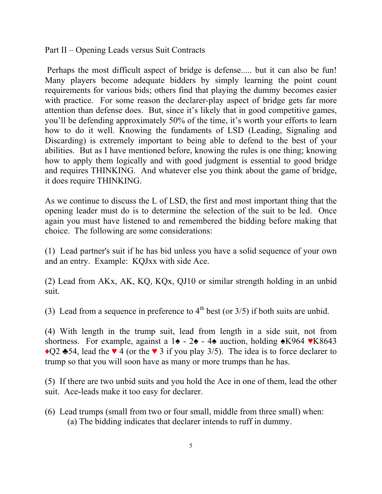Part II – Opening Leads versus Suit Contracts

 Perhaps the most difficult aspect of bridge is defense..... but it can also be fun! Many players become adequate bidders by simply learning the point count requirements for various bids; others find that playing the dummy becomes easier with practice. For some reason the declarer-play aspect of bridge gets far more attention than defense does. But, since it's likely that in good competitive games, you'll be defending approximately 50% of the time, it's worth your efforts to learn how to do it well. Knowing the fundaments of LSD (Leading, Signaling and Discarding) is extremely important to being able to defend to the best of your abilities. But as I have mentioned before, knowing the rules is one thing; knowing how to apply them logically and with good judgment is essential to good bridge and requires THINKING. And whatever else you think about the game of bridge, it does require THINKING.

As we continue to discuss the L of LSD, the first and most important thing that the opening leader must do is to determine the selection of the suit to be led. Once again you must have listened to and remembered the bidding before making that choice. The following are some considerations:

(1) Lead partner's suit if he has bid unless you have a solid sequence of your own and an entry. Example: KQJxx with side Ace.

(2) Lead from AKx, AK, KQ, KQx, QJ10 or similar strength holding in an unbid suit.

(3) Lead from a sequence in preference to  $4<sup>th</sup>$  best (or  $3/5$ ) if both suits are unbid.

(4) With length in the trump suit, lead from length in a side suit, not from shortness. For example, against a 1 $\blacklozenge$  - 2 $\blacklozenge$  - 4 $\blacklozenge$  auction, holding  $\blacklozenge$ K964  $\blacktriangledown$ K8643  $\bigcirc$ Q2  $\bigcirc$ 54, lead the  $\vee$  4 (or the  $\vee$  3 if you play 3/5). The idea is to force declarer to trump so that you will soon have as many or more trumps than he has.

(5) If there are two unbid suits and you hold the Ace in one of them, lead the other suit. Ace-leads make it too easy for declarer.

(6) Lead trumps (small from two or four small, middle from three small) when: (a) The bidding indicates that declarer intends to ruff in dummy.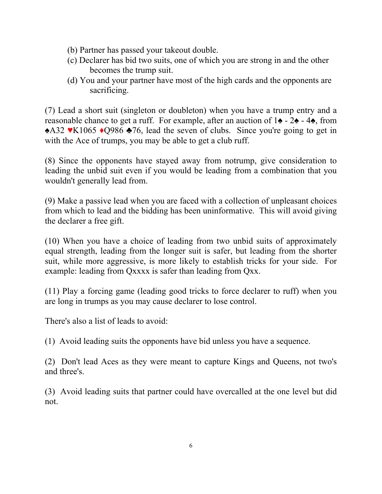- (b) Partner has passed your takeout double.
- (c) Declarer has bid two suits, one of which you are strong in and the other becomes the trump suit.
- (d) You and your partner have most of the high cards and the opponents are sacrificing.

(7) Lead a short suit (singleton or doubleton) when you have a trump entry and a reasonable chance to get a ruff. For example, after an auction of 1♠ - 2♠ - 4♠, from ♠A32 ♥K1065 ♦Q986 ♣76, lead the seven of clubs. Since you're going to get in with the Ace of trumps, you may be able to get a club ruff.

(8) Since the opponents have stayed away from notrump, give consideration to leading the unbid suit even if you would be leading from a combination that you wouldn't generally lead from.

(9) Make a passive lead when you are faced with a collection of unpleasant choices from which to lead and the bidding has been uninformative. This will avoid giving the declarer a free gift.

(10) When you have a choice of leading from two unbid suits of approximately equal strength, leading from the longer suit is safer, but leading from the shorter suit, while more aggressive, is more likely to establish tricks for your side. For example: leading from Qxxxx is safer than leading from Qxx.

(11) Play a forcing game (leading good tricks to force declarer to ruff) when you are long in trumps as you may cause declarer to lose control.

There's also a list of leads to avoid:

(1) Avoid leading suits the opponents have bid unless you have a sequence.

(2) Don't lead Aces as they were meant to capture Kings and Queens, not two's and three's.

(3) Avoid leading suits that partner could have overcalled at the one level but did not.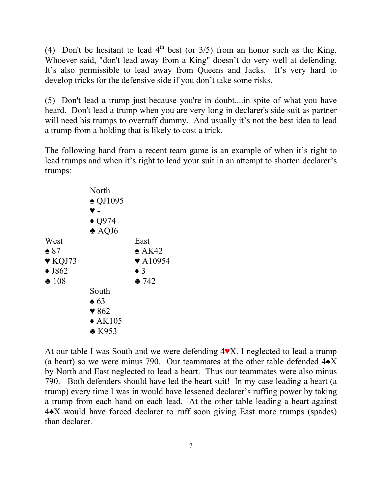(4) Don't be hesitant to lead  $4<sup>th</sup>$  best (or  $3/5$ ) from an honor such as the King. Whoever said, "don't lead away from a King" doesn't do very well at defending. It's also permissible to lead away from Queens and Jacks. It's very hard to develop tricks for the defensive side if you don't take some risks.

(5) Don't lead a trump just because you're in doubt....in spite of what you have heard. Don't lead a trump when you are very long in declarer's side suit as partner will need his trumps to overruff dummy. And usually it's not the best idea to lead a trump from a holding that is likely to cost a trick.

The following hand from a recent team game is an example of when it's right to lead trumps and when it's right to lead your suit in an attempt to shorten declarer's trumps:

|                            | North                    |                             |
|----------------------------|--------------------------|-----------------------------|
|                            | $\triangle$ QJ1095       |                             |
|                            |                          |                             |
|                            | $\triangle$ Q974         |                             |
|                            | $\triangle$ AQJ6         |                             |
| West                       |                          | East                        |
| $\triangle$ 87             |                          | $\triangle$ AK42            |
| $\blacktriangledown$ KQJ73 |                          | $\blacktriangledown$ A10954 |
| $\triangle$ J862           |                          | $\bullet$ 3                 |
| $\, 108$                   |                          | 242                         |
|                            | South                    |                             |
|                            | $\triangle$ 63           |                             |
|                            | $\blacktriangledown 862$ |                             |
|                            | $\triangle$ AK105        |                             |
|                            | $\triangle$ K953         |                             |
|                            |                          |                             |

At our table I was South and we were defending 4♥X. I neglected to lead a trump (a heart) so we were minus 790. Our teammates at the other table defended  $4\triangle X$ by North and East neglected to lead a heart. Thus our teammates were also minus 790. Both defenders should have led the heart suit! In my case leading a heart (a trump) every time I was in would have lessened declarer's ruffing power by taking a trump from each hand on each lead. At the other table leading a heart against 4♠X would have forced declarer to ruff soon giving East more trumps (spades) than declarer.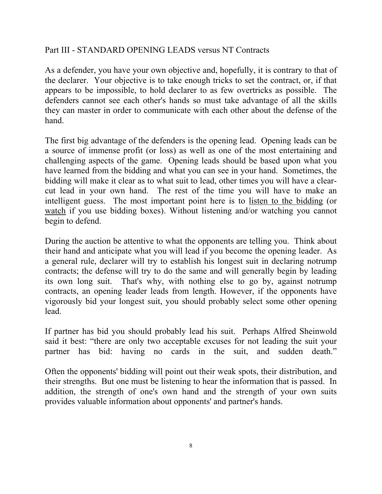## Part III - STANDARD OPENING LEADS versus NT Contracts

As a defender, you have your own objective and, hopefully, it is contrary to that of the declarer. Your objective is to take enough tricks to set the contract, or, if that appears to be impossible, to hold declarer to as few overtricks as possible. The defenders cannot see each other's hands so must take advantage of all the skills they can master in order to communicate with each other about the defense of the hand.

The first big advantage of the defenders is the opening lead. Opening leads can be a source of immense profit (or loss) as well as one of the most entertaining and challenging aspects of the game. Opening leads should be based upon what you have learned from the bidding and what you can see in your hand. Sometimes, the bidding will make it clear as to what suit to lead, other times you will have a clearcut lead in your own hand. The rest of the time you will have to make an intelligent guess. The most important point here is to listen to the bidding (or watch if you use bidding boxes). Without listening and/or watching you cannot begin to defend.

During the auction be attentive to what the opponents are telling you. Think about their hand and anticipate what you will lead if you become the opening leader. As a general rule, declarer will try to establish his longest suit in declaring notrump contracts; the defense will try to do the same and will generally begin by leading its own long suit. That's why, with nothing else to go by, against notrump contracts, an opening leader leads from length. However, if the opponents have vigorously bid your longest suit, you should probably select some other opening lead.

If partner has bid you should probably lead his suit. Perhaps Alfred Sheinwold said it best: "there are only two acceptable excuses for not leading the suit your partner has bid: having no cards in the suit, and sudden death."

Often the opponents' bidding will point out their weak spots, their distribution, and their strengths. But one must be listening to hear the information that is passed. In addition, the strength of one's own hand and the strength of your own suits provides valuable information about opponents' and partner's hands.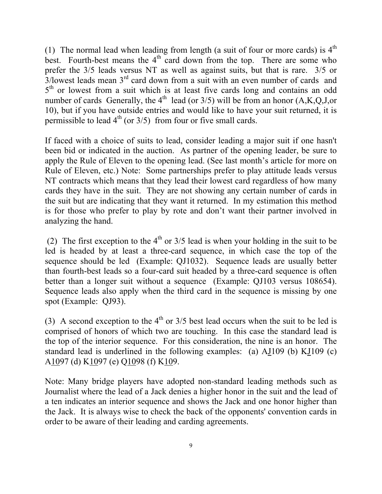(1) The normal lead when leading from length (a suit of four or more cards) is  $4<sup>th</sup>$ best. Fourth-best means the  $4<sup>th</sup>$  card down from the top. There are some who prefer the 3/5 leads versus NT as well as against suits, but that is rare. 3/5 or  $3$ /lowest leads mean  $3<sup>rd</sup>$  card down from a suit with an even number of cards and  $5<sup>th</sup>$  or lowest from a suit which is at least five cards long and contains an odd number of cards Generally, the  $4<sup>th</sup>$  lead (or 3/5) will be from an honor (A,K,Q,J,or 10), but if you have outside entries and would like to have your suit returned, it is permissible to lead  $4<sup>th</sup>$  (or  $3/5$ ) from four or five small cards.

If faced with a choice of suits to lead, consider leading a major suit if one hasn't been bid or indicated in the auction. As partner of the opening leader, be sure to apply the Rule of Eleven to the opening lead. (See last month's article for more on Rule of Eleven, etc.) Note: Some partnerships prefer to play attitude leads versus NT contracts which means that they lead their lowest card regardless of how many cards they have in the suit. They are not showing any certain number of cards in the suit but are indicating that they want it returned. In my estimation this method is for those who prefer to play by rote and don't want their partner involved in analyzing the hand.

(2) The first exception to the  $4<sup>th</sup>$  or 3/5 lead is when your holding in the suit to be led is headed by at least a three-card sequence, in which case the top of the sequence should be led (Example: QJ1032). Sequence leads are usually better than fourth-best leads so a four-card suit headed by a three-card sequence is often better than a longer suit without a sequence (Example: QJ103 versus 108654). Sequence leads also apply when the third card in the sequence is missing by one spot (Example: QJ93).

(3) A second exception to the  $4<sup>th</sup>$  or 3/5 best lead occurs when the suit to be led is comprised of honors of which two are touching. In this case the standard lead is the top of the interior sequence. For this consideration, the nine is an honor. The standard lead is underlined in the following examples: (a) AJ109 (b) KJ109 (c) A1097 (d) K1097 (e) Q1098 (f) K109.

Note: Many bridge players have adopted non-standard leading methods such as Journalist where the lead of a Jack denies a higher honor in the suit and the lead of a ten indicates an interior sequence and shows the Jack and one honor higher than the Jack. It is always wise to check the back of the opponents' convention cards in order to be aware of their leading and carding agreements.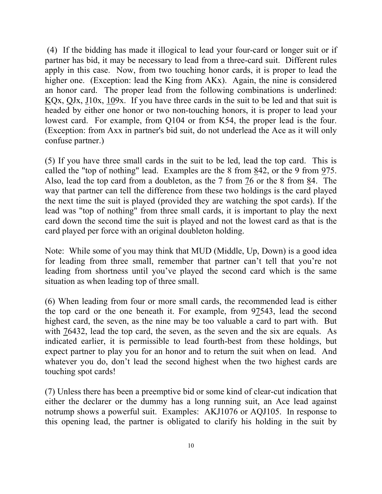(4) If the bidding has made it illogical to lead your four-card or longer suit or if partner has bid, it may be necessary to lead from a three-card suit. Different rules apply in this case. Now, from two touching honor cards, it is proper to lead the higher one. (Exception: lead the King from AKx). Again, the nine is considered an honor card. The proper lead from the following combinations is underlined: KQx, QJx, J10x, 109x. If you have three cards in the suit to be led and that suit is headed by either one honor or two non-touching honors, it is proper to lead your lowest card. For example, from Q104 or from K54, the proper lead is the four. (Exception: from Axx in partner's bid suit, do not underlead the Ace as it will only confuse partner.)

(5) If you have three small cards in the suit to be led, lead the top card. This is called the "top of nothing" lead. Examples are the 8 from  $842$ , or the 9 from  $975$ . Also, lead the top card from a doubleton, as the 7 from 76 or the 8 from 84. The way that partner can tell the difference from these two holdings is the card played the next time the suit is played (provided they are watching the spot cards). If the lead was "top of nothing" from three small cards, it is important to play the next card down the second time the suit is played and not the lowest card as that is the card played per force with an original doubleton holding.

Note: While some of you may think that MUD (Middle, Up, Down) is a good idea for leading from three small, remember that partner can't tell that you're not leading from shortness until you've played the second card which is the same situation as when leading top of three small.

(6) When leading from four or more small cards, the recommended lead is either the top card or the one beneath it. For example, from 97543, lead the second highest card, the seven, as the nine may be too valuable a card to part with. But with 76432, lead the top card, the seven, as the seven and the six are equals. As indicated earlier, it is permissible to lead fourth-best from these holdings, but expect partner to play you for an honor and to return the suit when on lead. And whatever you do, don't lead the second highest when the two highest cards are touching spot cards!

(7) Unless there has been a preemptive bid or some kind of clear-cut indication that either the declarer or the dummy has a long running suit, an Ace lead against notrump shows a powerful suit. Examples: AKJ1076 or AQJ105. In response to this opening lead, the partner is obligated to clarify his holding in the suit by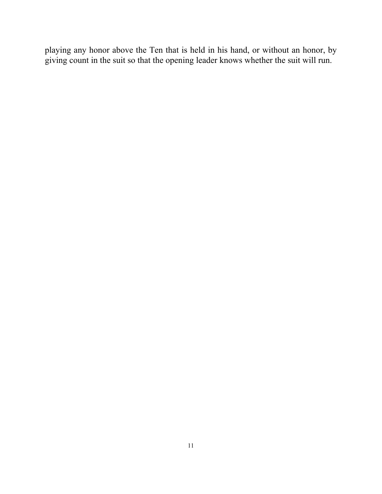playing any honor above the Ten that is held in his hand, or without an honor, by giving count in the suit so that the opening leader knows whether the suit will run.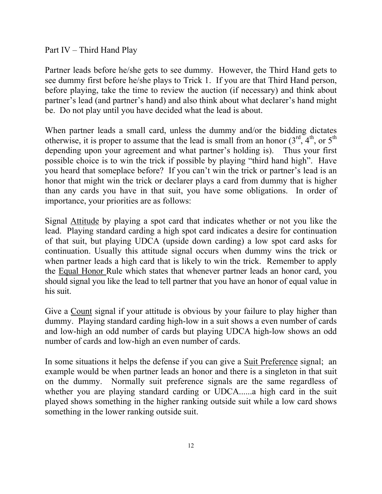Part IV – Third Hand Play

Partner leads before he/she gets to see dummy. However, the Third Hand gets to see dummy first before he/she plays to Trick 1. If you are that Third Hand person, before playing, take the time to review the auction (if necessary) and think about partner's lead (and partner's hand) and also think about what declarer's hand might be. Do not play until you have decided what the lead is about.

When partner leads a small card, unless the dummy and/or the bidding dictates otherwise, it is proper to assume that the lead is small from an honor  $(3<sup>rd</sup>, 4<sup>th</sup>)$ , or  $5<sup>th</sup>$ depending upon your agreement and what partner's holding is). Thus your first possible choice is to win the trick if possible by playing "third hand high". Have you heard that someplace before? If you can't win the trick or partner's lead is an honor that might win the trick or declarer plays a card from dummy that is higher than any cards you have in that suit, you have some obligations. In order of importance, your priorities are as follows:

Signal Attitude by playing a spot card that indicates whether or not you like the lead. Playing standard carding a high spot card indicates a desire for continuation of that suit, but playing UDCA (upside down carding) a low spot card asks for continuation. Usually this attitude signal occurs when dummy wins the trick or when partner leads a high card that is likely to win the trick. Remember to apply the Equal Honor Rule which states that whenever partner leads an honor card, you should signal you like the lead to tell partner that you have an honor of equal value in his suit.

Give a Count signal if your attitude is obvious by your failure to play higher than dummy. Playing standard carding high-low in a suit shows a even number of cards and low-high an odd number of cards but playing UDCA high-low shows an odd number of cards and low-high an even number of cards.

In some situations it helps the defense if you can give a Suit Preference signal; an example would be when partner leads an honor and there is a singleton in that suit on the dummy. Normally suit preference signals are the same regardless of whether you are playing standard carding or UDCA......a high card in the suit played shows something in the higher ranking outside suit while a low card shows something in the lower ranking outside suit.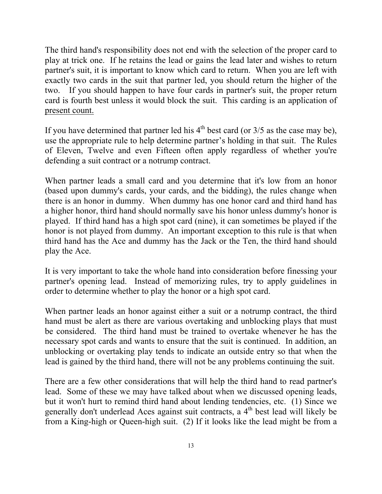The third hand's responsibility does not end with the selection of the proper card to play at trick one. If he retains the lead or gains the lead later and wishes to return partner's suit, it is important to know which card to return. When you are left with exactly two cards in the suit that partner led, you should return the higher of the two. If you should happen to have four cards in partner's suit, the proper return card is fourth best unless it would block the suit. This carding is an application of present count.

If you have determined that partner led his  $4<sup>th</sup>$  best card (or  $3/5$  as the case may be), use the appropriate rule to help determine partner's holding in that suit. The Rules of Eleven, Twelve and even Fifteen often apply regardless of whether you're defending a suit contract or a notrump contract.

When partner leads a small card and you determine that it's low from an honor (based upon dummy's cards, your cards, and the bidding), the rules change when there is an honor in dummy. When dummy has one honor card and third hand has a higher honor, third hand should normally save his honor unless dummy's honor is played. If third hand has a high spot card (nine), it can sometimes be played if the honor is not played from dummy. An important exception to this rule is that when third hand has the Ace and dummy has the Jack or the Ten, the third hand should play the Ace.

It is very important to take the whole hand into consideration before finessing your partner's opening lead. Instead of memorizing rules, try to apply guidelines in order to determine whether to play the honor or a high spot card.

When partner leads an honor against either a suit or a notrump contract, the third hand must be alert as there are various overtaking and unblocking plays that must be considered. The third hand must be trained to overtake whenever he has the necessary spot cards and wants to ensure that the suit is continued. In addition, an unblocking or overtaking play tends to indicate an outside entry so that when the lead is gained by the third hand, there will not be any problems continuing the suit.

There are a few other considerations that will help the third hand to read partner's lead. Some of these we may have talked about when we discussed opening leads, but it won't hurt to remind third hand about lending tendencies, etc. (1) Since we generally don't underlead Aces against suit contracts, a 4<sup>th</sup> best lead will likely be from a King-high or Queen-high suit. (2) If it looks like the lead might be from a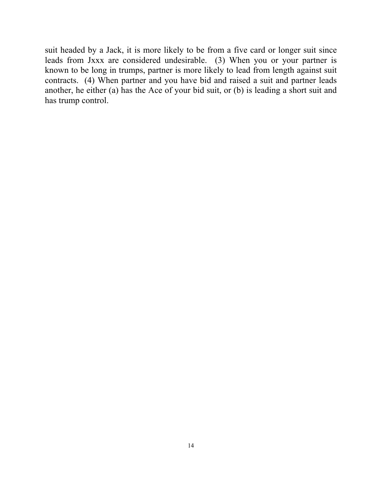suit headed by a Jack, it is more likely to be from a five card or longer suit since leads from Jxxx are considered undesirable. (3) When you or your partner is known to be long in trumps, partner is more likely to lead from length against suit contracts. (4) When partner and you have bid and raised a suit and partner leads another, he either (a) has the Ace of your bid suit, or (b) is leading a short suit and has trump control.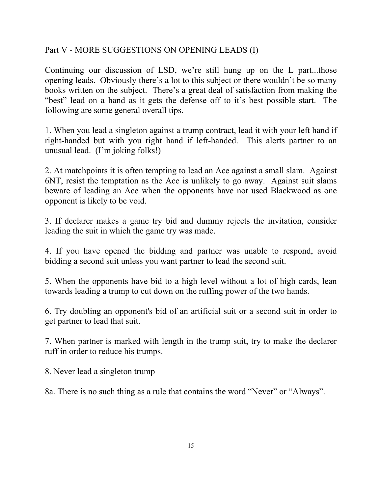## Part V - MORE SUGGESTIONS ON OPENING LEADS (I)

Continuing our discussion of LSD, we're still hung up on the L part...those opening leads. Obviously there's a lot to this subject or there wouldn't be so many books written on the subject. There's a great deal of satisfaction from making the "best" lead on a hand as it gets the defense off to it's best possible start. The following are some general overall tips.

1. When you lead a singleton against a trump contract, lead it with your left hand if right-handed but with you right hand if left-handed. This alerts partner to an unusual lead. (I'm joking folks!)

2. At matchpoints it is often tempting to lead an Ace against a small slam. Against 6NT, resist the temptation as the Ace is unlikely to go away. Against suit slams beware of leading an Ace when the opponents have not used Blackwood as one opponent is likely to be void.

3. If declarer makes a game try bid and dummy rejects the invitation, consider leading the suit in which the game try was made.

4. If you have opened the bidding and partner was unable to respond, avoid bidding a second suit unless you want partner to lead the second suit.

5. When the opponents have bid to a high level without a lot of high cards, lean towards leading a trump to cut down on the ruffing power of the two hands.

6. Try doubling an opponent's bid of an artificial suit or a second suit in order to get partner to lead that suit.

7. When partner is marked with length in the trump suit, try to make the declarer ruff in order to reduce his trumps.

8. Never lead a singleton trump

8a. There is no such thing as a rule that contains the word "Never" or "Always".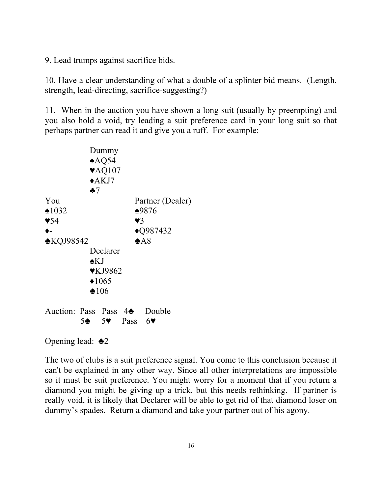9. Lead trumps against sacrifice bids.

10. Have a clear understanding of what a double of a splinter bid means. (Length, strength, lead-directing, sacrifice-suggesting?)

11. When in the auction you have shown a long suit (usually by preempting) and you also hold a void, try leading a suit preference card in your long suit so that perhaps partner can read it and give you a ruff. For example:

|                                          |               | Dummy                       |                                          |                     |
|------------------------------------------|---------------|-----------------------------|------------------------------------------|---------------------|
|                                          |               | $*AQ54$                     |                                          |                     |
|                                          |               | $\blacktriangledown$ AQ107  |                                          |                     |
|                                          |               | $\triangle$ AKJ7            |                                          |                     |
|                                          | $\clubsuit$ 7 |                             |                                          |                     |
| You                                      |               |                             |                                          | Partner (Dealer)    |
| $\triangle 1032$                         |               |                             |                                          | ♦9876               |
| $\blacktriangledown 54$                  |               |                             | $\mathbf{V}$ 3                           |                     |
| ♦-                                       |               |                             |                                          | $\triangle$ Q987432 |
| <b>*KQJ98542</b>                         |               |                             |                                          | A8                  |
|                                          |               | Declarer                    |                                          |                     |
|                                          | $\star$ KJ    |                             |                                          |                     |
|                                          |               | $\blacktriangledown$ KJ9862 |                                          |                     |
|                                          |               | $*1065$                     |                                          |                     |
|                                          |               | $*106$                      |                                          |                     |
|                                          |               |                             |                                          |                     |
| Auction: Pass Pass 4 <sup>2</sup> Double |               |                             |                                          |                     |
|                                          |               |                             | $5\clubsuit$ 5 $\blacktriangledown$ Pass | 6 <sup>4</sup>      |
|                                          |               |                             |                                          |                     |

Opening lead: ♣2

The two of clubs is a suit preference signal. You come to this conclusion because it can't be explained in any other way. Since all other interpretations are impossible so it must be suit preference. You might worry for a moment that if you return a diamond you might be giving up a trick, but this needs rethinking. If partner is really void, it is likely that Declarer will be able to get rid of that diamond loser on dummy's spades. Return a diamond and take your partner out of his agony.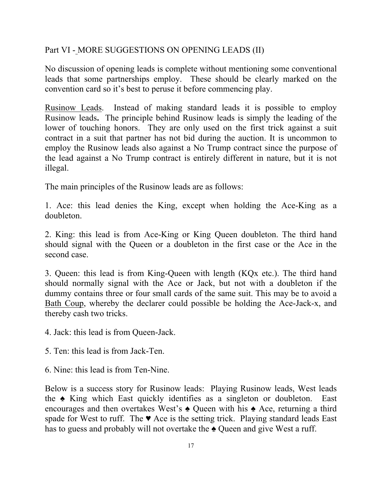#### Part VI - MORE SUGGESTIONS ON OPENING LEADS (II)

No discussion of opening leads is complete without mentioning some conventional leads that some partnerships employ. These should be clearly marked on the convention card so it's best to peruse it before commencing play.

Rusinow Leads. Instead of making standard leads it is possible to employ Rusinow leads**.** The principle behind Rusinow leads is simply the leading of the lower of touching honors. They are only used on the first trick against a suit contract in a suit that partner has not bid during the auction. It is uncommon to employ the Rusinow leads also against a No Trump contract since the purpose of the lead against a No Trump contract is entirely different in nature, but it is not illegal.

The main principles of the Rusinow leads are as follows:

1. Ace: this lead denies the King, except when holding the Ace-King as a doubleton.

2. King: this lead is from Ace-King or King Queen doubleton. The third hand should signal with the Queen or a doubleton in the first case or the Ace in the second case.

3. Queen: this lead is from King-Queen with length (KQx etc.). The third hand should normally signal with the Ace or Jack, but not with a doubleton if the dummy contains three or four small cards of the same suit. This may be to avoid a [Bath Coup](http://www.bridgeguys.com/BGlossary/BathCoup.html), whereby the declarer could possible be holding the Ace-Jack-x, and thereby cash two tricks.

4. Jack: this lead is from Queen-Jack.

5. Ten: this lead is from Jack-Ten.

6. Nine: this lead is from Ten-Nine.

Below is a success story for Rusinow leads: Playing Rusinow leads, West leads the ♠ King which East quickly identifies as a singleton or doubleton. East encourages and then overtakes West's ♠ Queen with his ♠ Ace, returning a third spade for West to ruff. The  $\blacktriangledown$  Ace is the setting trick. Playing standard leads East has to guess and probably will not overtake the ♠ Queen and give West a ruff.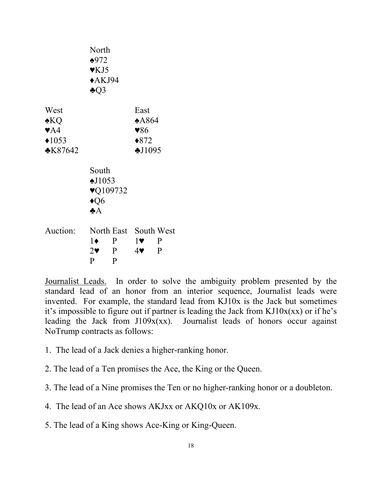|                                                                                    | North<br>$*972$<br>$\mathbf{V}$ KJ5<br>$*AKJ94$<br>$\clubsuit$ Q3                                |                                                                        |
|------------------------------------------------------------------------------------|--------------------------------------------------------------------------------------------------|------------------------------------------------------------------------|
| West<br>$\triangle$ KQ<br>$\blacktriangledown$ A4<br>$*1053$<br>$\triangle$ K87642 |                                                                                                  | East<br>$*A864$<br>$\blacktriangledown 86$<br>$*872$<br>\$J1095        |
|                                                                                    | South<br>$\triangle$ J1053<br>$\blacktriangledown$ 109732<br>$\triangleleft Q6$<br>$\clubsuit$ A |                                                                        |
| Auction:                                                                           | $1\bullet$<br>P<br>$2\bullet$ P<br>P<br>P                                                        | North East South West<br>$1\bullet$ P<br>$4$ $\blacktriangledown$<br>P |

Journalist Leads. In order to solve the ambiguity problem presented by the standard lead of an honor from an interior sequence, Journalist leads were invented. For example, the standard lead from KJ10x is the Jack but sometimes it's impossible to figure out if partner is leading the Jack from  $KJ10x(xx)$  or if he's leading the Jack from J109x(xx). Journalist leads of honors occur against NoTrump contracts as follows:

- 1. The lead of a Jack denies a higher-ranking honor.
- 2. The lead of a Ten promises the Ace, the King or the Queen.
- 3. The lead of a Nine promises the Ten or no higher-ranking honor or a doubleton.
- 4. The lead of an Ace shows AKJxx or AKQ10x or AK109x.
- 5. The lead of a King shows Ace-King or King-Queen.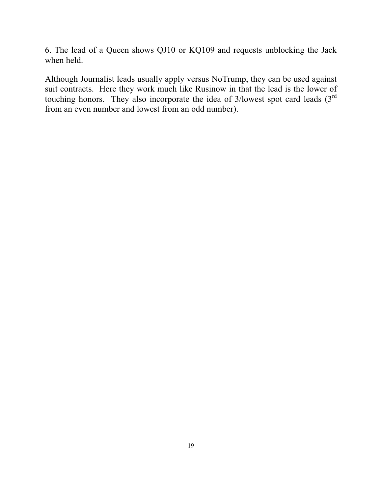6. The lead of a Queen shows QJ10 or KQ109 and requests unblocking the Jack when held.

Although Journalist leads usually apply versus NoTrump, they can be used against suit contracts. Here they work much like Rusinow in that the lead is the lower of touching honors. They also incorporate the idea of  $3$ /lowest spot card leads  $(3<sup>rd</sup>$ from an even number and lowest from an odd number).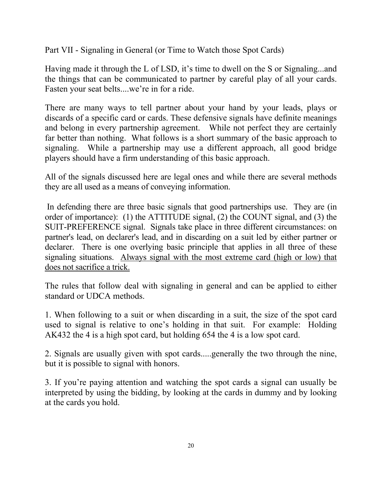Part VII - Signaling in General (or Time to Watch those Spot Cards)

Having made it through the L of LSD, it's time to dwell on the S or Signaling...and the things that can be communicated to partner by careful play of all your cards. Fasten your seat belts....we're in for a ride.

There are many ways to tell partner about your hand by your leads, plays or discards of a specific card or cards. These defensive signals have definite meanings and belong in every partnership agreement. While not perfect they are certainly far better than nothing. What follows is a short summary of the basic approach to signaling. While a partnership may use a different approach, all good bridge players should have a firm understanding of this basic approach.

All of the signals discussed here are legal ones and while there are several methods they are all used as a means of conveying information.

 In defending there are three basic signals that good partnerships use. They are (in order of importance): (1) the ATTITUDE signal, (2) the COUNT signal, and (3) the SUIT-PREFERENCE signal. Signals take place in three different circumstances: on partner's lead, on declarer's lead, and in discarding on a suit led by either partner or declarer. There is one overlying basic principle that applies in all three of these signaling situations. Always signal with the most extreme card (high or low) that does not sacrifice a trick.

The rules that follow deal with signaling in general and can be applied to either standard or UDCA methods.

1. When following to a suit or when discarding in a suit, the size of the spot card used to signal is relative to one's holding in that suit. For example: Holding AK432 the 4 is a high spot card, but holding 654 the 4 is a low spot card.

2. Signals are usually given with spot cards.....generally the two through the nine, but it is possible to signal with honors.

3. If you're paying attention and watching the spot cards a signal can usually be interpreted by using the bidding, by looking at the cards in dummy and by looking at the cards you hold.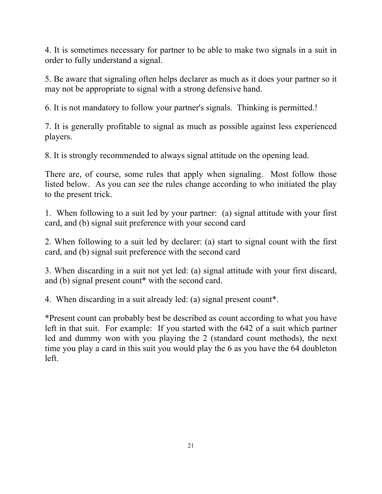4. It is sometimes necessary for partner to be able to make two signals in a suit in order to fully understand a signal.

5. Be aware that signaling often helps declarer as much as it does your partner so it may not be appropriate to signal with a strong defensive hand.

6. It is not mandatory to follow your partner's signals. Thinking is permitted.!

7. It is generally profitable to signal as much as possible against less experienced players.

8. It is strongly recommended to always signal attitude on the opening lead.

There are, of course, some rules that apply when signaling. Most follow those listed below. As you can see the rules change according to who initiated the play to the present trick.

1. When following to a suit led by your partner: (a) signal attitude with your first card, and (b) signal suit preference with your second card

2. When following to a suit led by declarer: (a) start to signal count with the first card, and (b) signal suit preference with the second card

3. When discarding in a suit not yet led: (a) signal attitude with your first discard, and (b) signal present count\* with the second card.

4. When discarding in a suit already led: (a) signal present count\*.

\*Present count can probably best be described as count according to what you have left in that suit. For example: If you started with the 642 of a suit which partner led and dummy won with you playing the 2 (standard count methods), the next time you play a card in this suit you would play the 6 as you have the 64 doubleton left.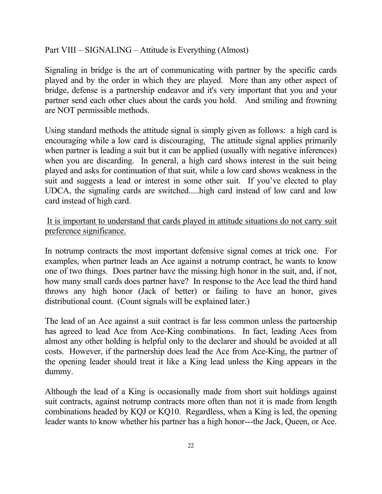#### Part VIII – SIGNALING – Attitude is Everything (Almost)

Signaling in bridge is the art of communicating with partner by the specific cards played and by the order in which they are played. More than any other aspect of bridge, defense is a partnership endeavor and it's very important that you and your partner send each other clues about the cards you hold. And smiling and frowning are NOT permissible methods.

Using standard methods the attitude signal is simply given as follows: a high card is encouraging while a low card is discouraging. The attitude signal applies primarily when partner is leading a suit but it can be applied (usually with negative inferences) when you are discarding. In general, a high card shows interest in the suit being played and asks for continuation of that suit, while a low card shows weakness in the suit and suggests a lead or interest in some other suit. If you've elected to play UDCA, the signaling cards are switched.....high card instead of low card and low card instead of high card.

It is important to understand that cards played in attitude situations do not carry suit preference significance.

In notrump contracts the most important defensive signal comes at trick one. For examples, when partner leads an Ace against a notrump contract, he wants to know one of two things. Does partner have the missing high honor in the suit, and, if not, how many small cards does partner have? In response to the Ace lead the third hand throws any high honor (Jack of better) or failing to have an honor, gives distributional count. (Count signals will be explained later.)

The lead of an Ace against a suit contract is far less common unless the partnership has agreed to lead Ace from Ace-King combinations. In fact, leading Aces from almost any other holding is helpful only to the declarer and should be avoided at all costs. However, if the partnership does lead the Ace from Ace-King, the partner of the opening leader should treat it like a King lead unless the King appears in the dummy.

Although the lead of a King is occasionally made from short suit holdings against suit contracts, against notrump contracts more often than not it is made from length combinations headed by KQJ or KQ10. Regardless, when a King is led, the opening leader wants to know whether his partner has a high honor---the Jack, Queen, or Ace.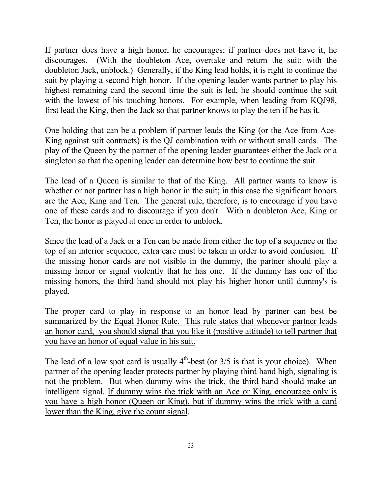If partner does have a high honor, he encourages; if partner does not have it, he discourages. (With the doubleton Ace, overtake and return the suit; with the doubleton Jack, unblock.) Generally, if the King lead holds, it is right to continue the suit by playing a second high honor. If the opening leader wants partner to play his highest remaining card the second time the suit is led, he should continue the suit with the lowest of his touching honors. For example, when leading from KQJ98, first lead the King, then the Jack so that partner knows to play the ten if he has it.

One holding that can be a problem if partner leads the King (or the Ace from Ace-King against suit contracts) is the QJ combination with or without small cards. The play of the Queen by the partner of the opening leader guarantees either the Jack or a singleton so that the opening leader can determine how best to continue the suit.

The lead of a Queen is similar to that of the King. All partner wants to know is whether or not partner has a high honor in the suit; in this case the significant honors are the Ace, King and Ten. The general rule, therefore, is to encourage if you have one of these cards and to discourage if you don't. With a doubleton Ace, King or Ten, the honor is played at once in order to unblock.

Since the lead of a Jack or a Ten can be made from either the top of a sequence or the top of an interior sequence, extra care must be taken in order to avoid confusion. If the missing honor cards are not visible in the dummy, the partner should play a missing honor or signal violently that he has one. If the dummy has one of the missing honors, the third hand should not play his higher honor until dummy's is played.

The proper card to play in response to an honor lead by partner can best be summarized by the Equal Honor Rule. This rule states that whenever partner leads an honor card, you should signal that you like it (positive attitude) to tell partner that you have an honor of equal value in his suit.

The lead of a low spot card is usually  $4<sup>th</sup>$ -best (or  $3/5$  is that is your choice). When partner of the opening leader protects partner by playing third hand high, signaling is not the problem. But when dummy wins the trick, the third hand should make an intelligent signal. If dummy wins the trick with an Ace or King, encourage only is you have a high honor (Queen or King), but if dummy wins the trick with a card lower than the King, give the count signal.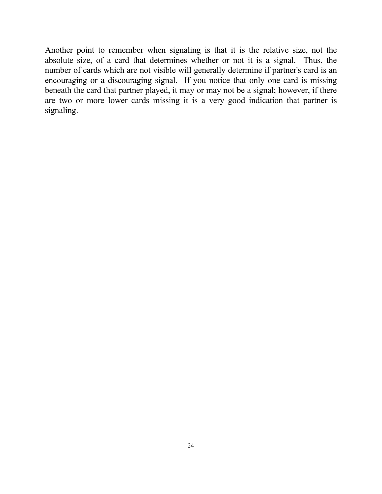Another point to remember when signaling is that it is the relative size, not the absolute size, of a card that determines whether or not it is a signal. Thus, the number of cards which are not visible will generally determine if partner's card is an encouraging or a discouraging signal. If you notice that only one card is missing beneath the card that partner played, it may or may not be a signal; however, if there are two or more lower cards missing it is a very good indication that partner is signaling.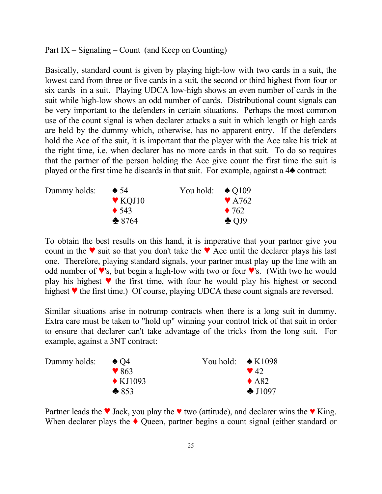Part IX – Signaling – Count (and Keep on Counting)

Basically, standard count is given by playing high-low with two cards in a suit, the lowest card from three or five cards in a suit, the second or third highest from four or six cards in a suit. Playing UDCA low-high shows an even number of cards in the suit while high-low shows an odd number of cards. Distributional count signals can be very important to the defenders in certain situations. Perhaps the most common use of the count signal is when declarer attacks a suit in which length or high cards are held by the dummy which, otherwise, has no apparent entry. If the defenders hold the Ace of the suit, it is important that the player with the Ace take his trick at the right time, i.e. when declarer has no more cards in that suit. To do so requires that the partner of the person holding the Ace give count the first time the suit is played or the first time he discards in that suit. For example, against a  $4\blacktriangle$  contract:

| Dummy holds: | $\triangle$ 54             | You hold: $\triangle$ Q109 |                           |
|--------------|----------------------------|----------------------------|---------------------------|
|              | $\blacktriangledown$ KOJ10 |                            | $\blacktriangledown$ A762 |
|              | $\triangle$ 543            |                            | $\triangle$ 762           |
|              | $*8764$                    |                            | $\triangle$ OJ9           |

To obtain the best results on this hand, it is imperative that your partner give you count in the  $\blacktriangledown$  suit so that you don't take the  $\blacktriangledown$  Ace until the declarer plays his last one. Therefore, playing standard signals, your partner must play up the line with an odd number of  $\blacktriangledown$ 's, but begin a high-low with two or four  $\blacktriangledown$ 's. (With two he would play his highest  $\blacktriangledown$  the first time, with four he would play his highest or second highest  $\blacktriangledown$  the first time.) Of course, playing UDCA these count signals are reversed.

Similar situations arise in notrump contracts when there is a long suit in dummy. Extra care must be taken to "hold up" winning your control trick of that suit in order to ensure that declarer can't take advantage of the tricks from the long suit. For example, against a 3NT contract:

| Dummy holds: | $\triangle$ O4           | You hold: $\triangle$ K1098 |                         |
|--------------|--------------------------|-----------------------------|-------------------------|
|              | $\blacktriangledown 863$ |                             | $\blacktriangledown$ 42 |
|              | $\triangle$ KJ1093       |                             | $\triangle$ A82         |
|              | $*853$                   |                             | $\clubsuit$ J1097       |

Partner leads the  $\blacktriangledown$  Jack, you play the  $\blacktriangledown$  two (attitude), and declarer wins the  $\Psi$  King. When declarer plays the  $\blacklozenge$  Queen, partner begins a count signal (either standard or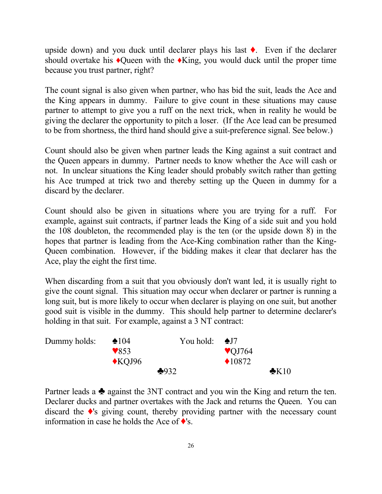upside down) and you duck until declarer plays his last  $\bullet$ . Even if the declarer should overtake his  $\triangle$ Queen with the  $\triangle$ King, you would duck until the proper time because you trust partner, right?

The count signal is also given when partner, who has bid the suit, leads the Ace and the King appears in dummy. Failure to give count in these situations may cause partner to attempt to give you a ruff on the next trick, when in reality he would be giving the declarer the opportunity to pitch a loser. (If the Ace lead can be presumed to be from shortness, the third hand should give a suit-preference signal. See below.)

Count should also be given when partner leads the King against a suit contract and the Queen appears in dummy. Partner needs to know whether the Ace will cash or not. In unclear situations the King leader should probably switch rather than getting his Ace trumped at trick two and thereby setting up the Queen in dummy for a discard by the declarer.

Count should also be given in situations where you are trying for a ruff. For example, against suit contracts, if partner leads the King of a side suit and you hold the 108 doubleton, the recommended play is the ten (or the upside down 8) in the hopes that partner is leading from the Ace-King combination rather than the King-Queen combination. However, if the bidding makes it clear that declarer has the Ace, play the eight the first time.

When discarding from a suit that you obviously don't want led, it is usually right to give the count signal. This situation may occur when declarer or partner is running a long suit, but is more likely to occur when declarer is playing on one suit, but another good suit is visible in the dummy. This should help partner to determine declarer's holding in that suit. For example, against a 3 NT contract:

| Dummy holds: | $\triangle 104$          | You hold: $\triangle$ J7 |                   |                |
|--------------|--------------------------|--------------------------|-------------------|----------------|
|              | $\blacktriangledown$ 853 |                          | $\sqrt{QJ}$ 764   |                |
|              | $\triangle$ KOJ96        |                          | $\triangle 10872$ |                |
|              |                          | $+932$                   |                   | $\bigstar$ K10 |

Partner leads a  $\triangle$  against the 3NT contract and you win the King and return the ten. Declarer ducks and partner overtakes with the Jack and returns the Queen. You can discard the  $\triangle$ 's giving count, thereby providing partner with the necessary count information in case he holds the Ace of  $\blacklozenge$ 's.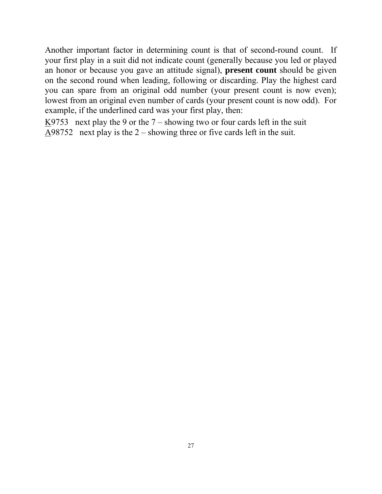Another important factor in determining count is that of second-round count. If your first play in a suit did not indicate count (generally because you led or played an honor or because you gave an attitude signal), **present count** should be given on the second round when leading, following or discarding. Play the highest card you can spare from an original odd number (your present count is now even); lowest from an original even number of cards (your present count is now odd). For example, if the underlined card was your first play, then:

K9753 next play the 9 or the  $7$  – showing two or four cards left in the suit A98752 next play is the 2 – showing three or five cards left in the suit.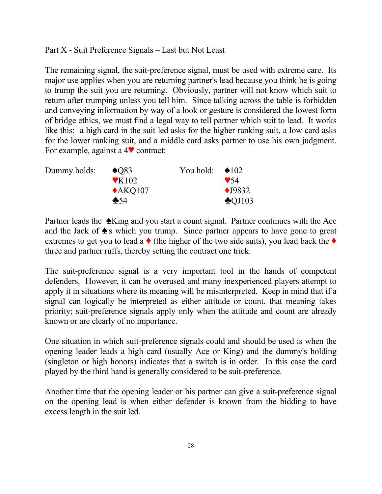Part X - Suit Preference Signals – Last but Not Least

The remaining signal, the suit-preference signal, must be used with extreme care. Its major use applies when you are returning partner's lead because you think he is going to trump the suit you are returning. Obviously, partner will not know which suit to return after trumping unless you tell him. Since talking across the table is forbidden and conveying information by way of a look or gesture is considered the lowest form of bridge ethics, we must find a legal way to tell partner which suit to lead. It works like this: a high card in the suit led asks for the higher ranking suit, a low card asks for the lower ranking suit, and a middle card asks partner to use his own judgment. For example, against a  $4\blacktriangledown$  contract:

| Dummy holds: | $\triangle$ 083           | You hold: $\triangle 102$ |                         |
|--------------|---------------------------|---------------------------|-------------------------|
|              | $\blacktriangledown$ K102 |                           | $\blacktriangledown$ 54 |
|              | $\triangle$ AKQ107        |                           | $\bigstar$ 19832        |
|              | $\clubsuit 54$            |                           | $\triangle$ QJ103       |

Partner leads the  $\triangle$ King and you start a count signal. Partner continues with the Ace and the Jack of  $\triangle$ 's which you trump. Since partner appears to have gone to great extremes to get you to lead a  $\bullet$  (the higher of the two side suits), you lead back the  $\bullet$ three and partner ruffs, thereby setting the contract one trick.

The suit-preference signal is a very important tool in the hands of competent defenders. However, it can be overused and many inexperienced players attempt to apply it in situations where its meaning will be misinterpreted. Keep in mind that if a signal can logically be interpreted as either attitude or count, that meaning takes priority; suit-preference signals apply only when the attitude and count are already known or are clearly of no importance.

One situation in which suit-preference signals could and should be used is when the opening leader leads a high card (usually Ace or King) and the dummy's holding (singleton or high honors) indicates that a switch is in order. In this case the card played by the third hand is generally considered to be suit-preference.

Another time that the opening leader or his partner can give a suit-preference signal on the opening lead is when either defender is known from the bidding to have excess length in the suit led.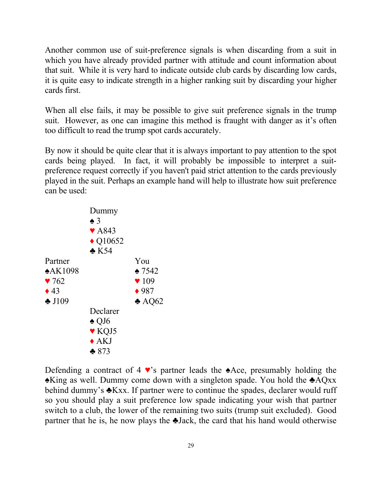Another common use of suit-preference signals is when discarding from a suit in which you have already provided partner with attitude and count information about that suit. While it is very hard to indicate outside club cards by discarding low cards, it is quite easy to indicate strength in a higher ranking suit by discarding your higher cards first.

When all else fails, it may be possible to give suit preference signals in the trump suit. However, as one can imagine this method is fraught with danger as it's often too difficult to read the trump spot cards accurately.

By now it should be quite clear that it is always important to pay attention to the spot cards being played. In fact, it will probably be impossible to interpret a suitpreference request correctly if you haven't paid strict attention to the cards previously played in the suit. Perhaps an example hand will help to illustrate how suit preference can be used:



Defending a contract of 4 ♥'s partner leads the ♠Ace, presumably holding the ♠King as well. Dummy come down with a singleton spade. You hold the ♣AQxx behind dummy's **∗Kxx**. If partner were to continue the spades, declarer would ruff so you should play a suit preference low spade indicating your wish that partner switch to a club, the lower of the remaining two suits (trump suit excluded). Good partner that he is, he now plays the ♣Jack, the card that his hand would otherwise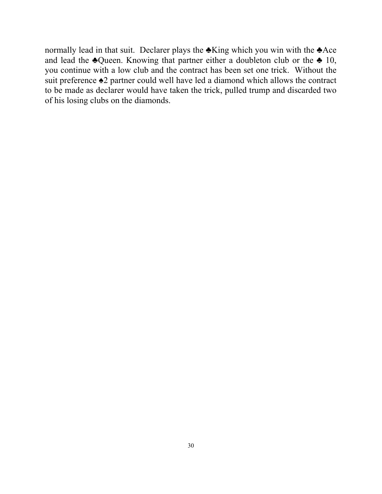normally lead in that suit. Declarer plays the ♣King which you win with the ♣Ace and lead the  $\triangle Q$ ueen. Knowing that partner either a doubleton club or the  $\triangle Q$  10, you continue with a low club and the contract has been set one trick. Without the suit preference ♠2 partner could well have led a diamond which allows the contract to be made as declarer would have taken the trick, pulled trump and discarded two of his losing clubs on the diamonds.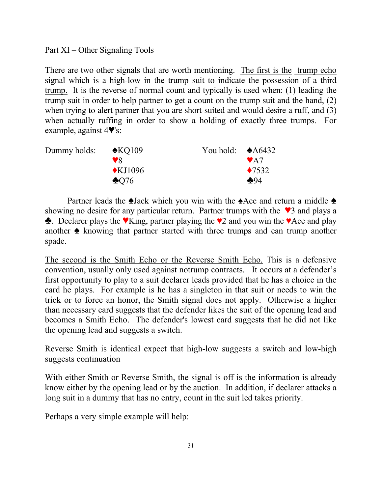Part XI – Other Signaling Tools

There are two other signals that are worth mentioning. The first is the trump echo signal which is a high-low in the trump suit to indicate the possession of a third trump. It is the reverse of normal count and typically is used when: (1) leading the trump suit in order to help partner to get a count on the trump suit and the hand, (2) when trying to alert partner that you are short-suited and would desire a ruff, and (3) when actually ruffing in order to show a holding of exactly three trumps. For example, against  $4\Psi$ 's:

| Dummy holds: | $\triangle$ KQ109 | You hold: $\triangle A6432$ |                  |
|--------------|-------------------|-----------------------------|------------------|
|              | $\mathbf{v}$      |                             | $\mathbf{V}$ A7  |
|              | $\bigstar$ KJ1096 |                             | $\triangle 7532$ |
|              | $\clubsuit$ 076   |                             | $+94$            |

Partner leads the  $\triangle$ Jack which you win with the  $\triangle$ Ace and return a middle  $\triangle$ showing no desire for any particular return. Partner trumps with the  $\sqrt{3}$  and plays a  $\triangle$ . Declarer plays the  $\blacktriangledown$ King, partner playing the  $\blacktriangledown$  and you win the  $\blacktriangledown$ Ace and play another  $\triangle$  knowing that partner started with three trumps and can trump another spade.

The second is the Smith Echo or the Reverse Smith Echo. This is a defensive convention, usually only used against notrump contracts. It occurs at a defender's first opportunity to play to a suit declarer leads provided that he has a choice in the card he plays. For example is he has a singleton in that suit or needs to win the trick or to force an honor, the Smith signal does not apply. Otherwise a higher than necessary card suggests that the defender likes the suit of the opening lead and becomes a Smith Echo. The defender's lowest card suggests that he did not like the opening lead and suggests a switch.

Reverse Smith is identical expect that high-low suggests a switch and low-high suggests continuation

With either Smith or Reverse Smith, the signal is off is the information is already know either by the opening lead or by the auction. In addition, if declarer attacks a long suit in a dummy that has no entry, count in the suit led takes priority.

Perhaps a very simple example will help: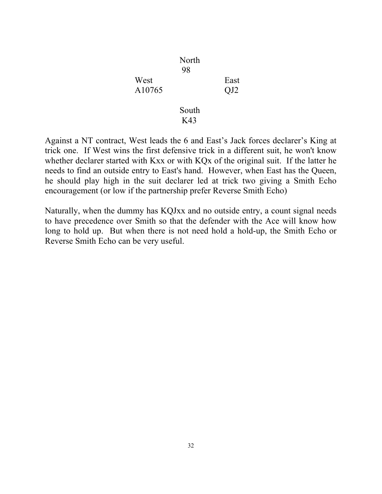|        | North |                 |
|--------|-------|-----------------|
|        | 98    |                 |
| West   |       | East            |
| A10765 |       | QJ <sub>2</sub> |
|        |       |                 |
|        | South |                 |
|        | K43   |                 |

Against a NT contract, West leads the 6 and East's Jack forces declarer's King at trick one. If West wins the first defensive trick in a different suit, he won't know whether declarer started with Kxx or with KQx of the original suit. If the latter he needs to find an outside entry to East's hand. However, when East has the Queen, he should play high in the suit declarer led at trick two giving a Smith Echo encouragement (or low if the partnership prefer Reverse Smith Echo)

Naturally, when the dummy has KQJxx and no outside entry, a count signal needs to have precedence over Smith so that the defender with the Ace will know how long to hold up. But when there is not need hold a hold-up, the Smith Echo or Reverse Smith Echo can be very useful.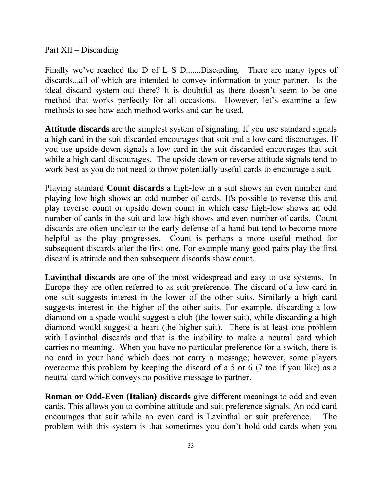Part XII – Discarding

Finally we've reached the D of L S D.......Discarding. There are many types of discards...all of which are intended to convey information to your partner. Is the ideal discard system out there? It is doubtful as there doesn't seem to be one method that works perfectly for all occasions. However, let's examine a few methods to see how each method works and can be used.

**Attitude discards** are the simplest system of signaling. If you use standard signals a high card in the suit discarded encourages that suit and a low card discourages. If you use upside-down signals a low card in the suit discarded encourages that suit while a high card discourages. The upside-down or reverse attitude signals tend to work best as you do not need to throw potentially useful cards to encourage a suit.

Playing standard **Count discards** a high-low in a suit shows an even number and playing low-high shows an odd number of cards. It's possible to reverse this and play reverse count or upside down count in which case high-low shows an odd number of cards in the suit and low-high shows and even number of cards. Count discards are often unclear to the early defense of a hand but tend to become more helpful as the play progresses. Count is perhaps a more useful method for subsequent discards after the first one. For example many good pairs play the first discard is attitude and then subsequent discards show count.

**Lavinthal discards** are one of the most widespread and easy to use systems. In Europe they are often referred to as suit preference. The discard of a low card in one suit suggests interest in the lower of the other suits. Similarly a high card suggests interest in the higher of the other suits. For example, discarding a low diamond on a spade would suggest a club (the lower suit), while discarding a high diamond would suggest a heart (the higher suit). There is at least one problem with Lavinthal discards and that is the inability to make a neutral card which carries no meaning. When you have no particular preference for a switch, there is no card in your hand which does not carry a message; however, some players overcome this problem by keeping the discard of a 5 or 6 (7 too if you like) as a neutral card which conveys no positive message to partner.

**Roman or Odd-Even (Italian) discards** give different meanings to odd and even cards. This allows you to combine attitude and suit preference signals. An odd card encourages that suit while an even card is Lavinthal or suit preference. The problem with this system is that sometimes you don't hold odd cards when you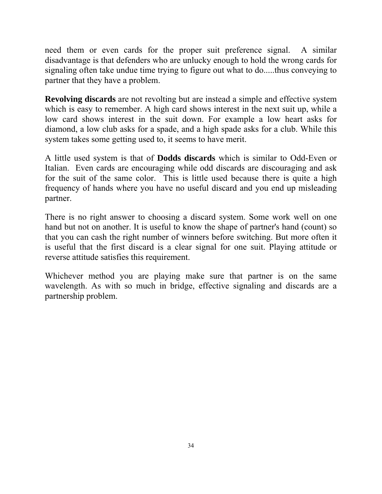need them or even cards for the proper suit preference signal. A similar disadvantage is that defenders who are unlucky enough to hold the wrong cards for signaling often take undue time trying to figure out what to do.....thus conveying to partner that they have a problem.

**Revolving discards** are not revolting but are instead a simple and effective system which is easy to remember. A high card shows interest in the next suit up, while a low card shows interest in the suit down. For example a low heart asks for diamond, a low club asks for a spade, and a high spade asks for a club. While this system takes some getting used to, it seems to have merit.

A little used system is that of **Dodds discards** which is similar to Odd-Even or Italian. Even cards are encouraging while odd discards are discouraging and ask for the suit of the same color. This is little used because there is quite a high frequency of hands where you have no useful discard and you end up misleading partner.

There is no right answer to choosing a discard system. Some work well on one hand but not on another. It is useful to know the shape of partner's hand (count) so that you can cash the right number of winners before switching. But more often it is useful that the first discard is a clear signal for one suit. Playing attitude or reverse attitude satisfies this requirement.

Whichever method you are playing make sure that partner is on the same wavelength. As with so much in bridge, effective signaling and discards are a partnership problem.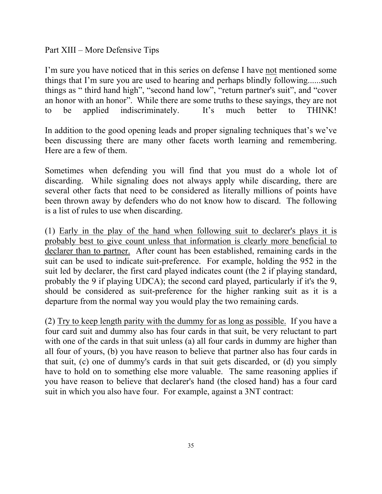Part XIII – More Defensive Tips

I'm sure you have noticed that in this series on defense I have not mentioned some things that I'm sure you are used to hearing and perhaps blindly following......such things as " third hand high", "second hand low", "return partner's suit", and "cover an honor with an honor". While there are some truths to these sayings, they are not to be applied indiscriminately. It's much better to THINK!

In addition to the good opening leads and proper signaling techniques that's we've been discussing there are many other facets worth learning and remembering. Here are a few of them.

Sometimes when defending you will find that you must do a whole lot of discarding. While signaling does not always apply while discarding, there are several other facts that need to be considered as literally millions of points have been thrown away by defenders who do not know how to discard. The following is a list of rules to use when discarding.

(1) Early in the play of the hand when following suit to declarer's plays it is probably best to give count unless that information is clearly more beneficial to declarer than to partner. After count has been established, remaining cards in the suit can be used to indicate suit-preference. For example, holding the 952 in the suit led by declarer, the first card played indicates count (the 2 if playing standard, probably the 9 if playing UDCA); the second card played, particularly if it's the 9, should be considered as suit-preference for the higher ranking suit as it is a departure from the normal way you would play the two remaining cards.

(2) Try to keep length parity with the dummy for as long as possible. If you have a four card suit and dummy also has four cards in that suit, be very reluctant to part with one of the cards in that suit unless (a) all four cards in dummy are higher than all four of yours, (b) you have reason to believe that partner also has four cards in that suit, (c) one of dummy's cards in that suit gets discarded, or (d) you simply have to hold on to something else more valuable. The same reasoning applies if you have reason to believe that declarer's hand (the closed hand) has a four card suit in which you also have four. For example, against a 3NT contract: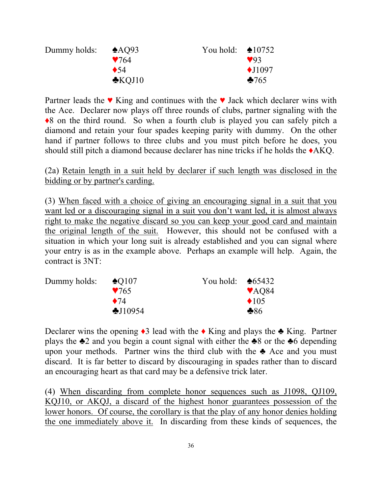| Dummy holds: | $\triangle$ AQ93<br>$\blacktriangledown$ 64 | You hold: $\triangle 10752$ | $\vee$ 93         |
|--------------|---------------------------------------------|-----------------------------|-------------------|
|              | $\bullet$ 54                                |                             | $\triangle$ J1097 |
|              | $\triangle$ KOJ10                           |                             | $*765$            |

Partner leads the  $\bullet$  King and continues with the  $\bullet$  Jack which declarer wins with the Ace. Declarer now plays off three rounds of clubs, partner signaling with the ♦8 on the third round. So when a fourth club is played you can safely pitch a diamond and retain your four spades keeping parity with dummy. On the other hand if partner follows to three clubs and you must pitch before he does, you should still pitch a diamond because declarer has nine tricks if he holds the ♦AKQ.

(2a) Retain length in a suit held by declarer if such length was disclosed in the bidding or by partner's carding.

(3) When faced with a choice of giving an encouraging signal in a suit that you want led or a discouraging signal in a suit you don't want led, it is almost always right to make the negative discard so you can keep your good card and maintain the original length of the suit. However, this should not be confused with a situation in which your long suit is already established and you can signal where your entry is as in the example above. Perhaps an example will help. Again, the contract is 3NT:

| Dummy holds: | $\triangle$ O107  | You hold: $\triangle 65432$ |                           |
|--------------|-------------------|-----------------------------|---------------------------|
|              | $\sqrt{765}$      |                             | $\blacktriangledown$ AQ84 |
|              | $\bullet$ 74      |                             | $\triangle$ 105           |
|              | $\bigstar$ J10954 |                             | $\clubsuit 86$            |

Declarer wins the opening  $\triangleleft$  lead with the  $\triangleleft$  King and plays the  $\triangleleft$  King. Partner plays the  $\triangle 2$  and you begin a count signal with either the  $\triangle 8$  or the  $\triangle 6$  depending upon your methods. Partner wins the third club with the  $\triangle$  Ace and you must discard. It is far better to discard by discouraging in spades rather than to discard an encouraging heart as that card may be a defensive trick later.

(4) When discarding from complete honor sequences such as J1098, QJ109, KQJ10, or AKQJ, a discard of the highest honor guarantees possession of the lower honors. Of course, the corollary is that the play of any honor denies holding the one immediately above it. In discarding from these kinds of sequences, the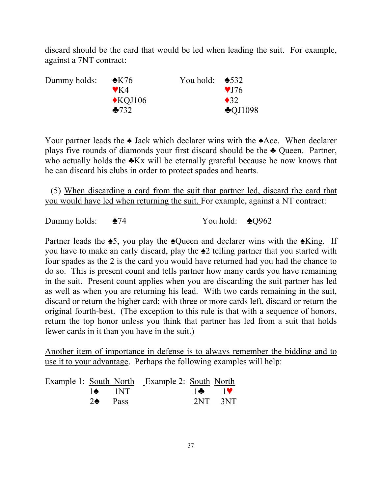discard should be the card that would be led when leading the suit. For example, against a 7NT contract:

| Dummy holds: | $\triangle$ K76         | You hold: $\triangle$ 532 |                    |
|--------------|-------------------------|---------------------------|--------------------|
|              | $\blacktriangledown$ K4 |                           | $\sqrt{176}$       |
|              | $\triangle$ KOJ106      |                           | $\bullet$ 32       |
|              | $-732$                  |                           | $\triangle$ QJ1098 |

Your partner leads the ♠ Jack which declarer wins with the ♠Ace. When declarer plays five rounds of diamonds your first discard should be the ♣ Queen. Partner, who actually holds the **∗Kx** will be eternally grateful because he now knows that he can discard his clubs in order to protect spades and hearts.

(5) When discarding a card from the suit that partner led, discard the card that you would have led when returning the suit. For example, against a NT contract:

Dummy holds:  $\triangle 74$  You hold:  $\triangle Q962$ 

Partner leads the  $\triangle 5$ , you play the  $\triangle 0$ ueen and declarer wins with the  $\triangle 1$ King. If you have to make an early discard, play the ♠2 telling partner that you started with four spades as the 2 is the card you would have returned had you had the chance to do so. This is present count and tells partner how many cards you have remaining in the suit. Present count applies when you are discarding the suit partner has led as well as when you are returning his lead. With two cards remaining in the suit, discard or return the higher card; with three or more cards left, discard or return the original fourth-best. (The exception to this rule is that with a sequence of honors, return the top honor unless you think that partner has led from a suit that holds fewer cards in it than you have in the suit.)

Another item of importance in defense is to always remember the bidding and to use it to your advantage. Perhaps the following examples will help:

|                    | Example 1: South North Example 2: South North |               |
|--------------------|-----------------------------------------------|---------------|
| $1\spadesuit$ 1NT  |                                               | $\frac{1}{2}$ |
| $2\spadesuit$ Pass |                                               | $2NT - 3NT$   |